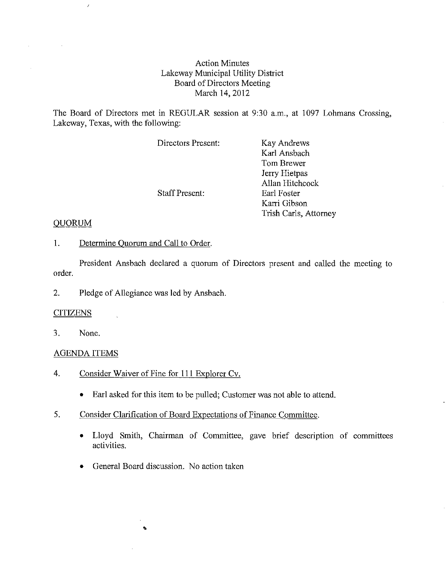### Action Minutes Lakeway Municipal Utility District Board of Directors Meeting March 14,2012

The Board of Directors met in REGULAR session at 9:30 a.m., at 1097 Lohmans Crossing, Lakeway, Texas, with the following:

| Directors Present:    | Kay Andrews           |
|-----------------------|-----------------------|
|                       | Karl Ansbach          |
|                       | Tom Brewer            |
|                       | Jerry Hietpas         |
|                       | Allan Hitchcock       |
| <b>Staff Present:</b> | Earl Foster           |
|                       | Karri Gibson          |
|                       | Trish Carls, Attorney |

### QUORUM

 $\bar{\bar{z}}$ 

1. Determine Quorum and Call to Order.

President Ansbach declared a quorum of Directors present and called the meeting to order.

2. Pledge of Allegiance was led by Ansbach.

### **CITIZENS**

3. None.

## AGENDA ITEMS

- 4. Consider Waiver of Fine for 111 Explorer Cv.
	- Earl asked for this item to be pulled; Customer was not able to attend.
- 5. Consider Clarification of Board Expectations of Finance Committee.
	- Lloyd Smith, Chairman of Committee, gave brief description of committees activities.
	- General Board discussion. No action taken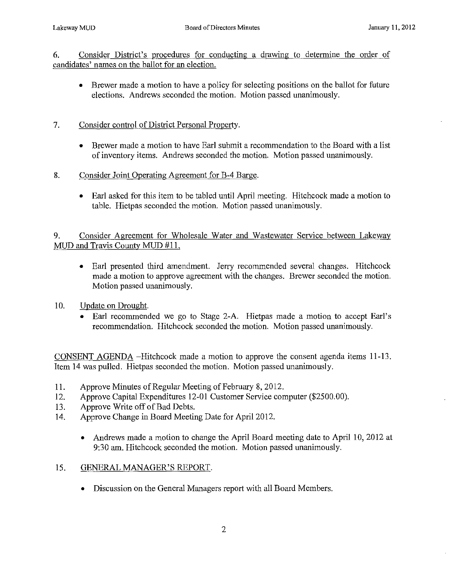6, Consider District's procedmes for conducting a drawing to determine the order of candidates' names on the ballot for an election.

• Brewer made a motion to have a policy for selecting positions on the ballot for future elections. Andrews seconded the motion. Motion passed unanimously.

# 7. Consider control of District Personal Property.

- Brewer made a motion to have Earl submit a recommendation to the Board with a list of inventory items. Andrews seconded the motion. Motion passed unanimously.
- 8. Consider Joint Operating Agreement for B-4 Barge.
	- Earl asked for this item to be tabled until April meeting. Hitchcock made a motion to table. Hietpas seconded the motion. Motion passed unanimously.

9. Consider Agreement for Wholesale Water and Wastewater Service between Lakeway MUD and Travis County MUD #11,

- Earl presented third amendment. Jerry recommended several changes. Hitchcock made a motion to approve agreement with the changes. Brewer seconded the motion. Motion passed unanimously.
- 10. Update on Drought.
	- Earl recommended we go to Stage 2-A. Hietpas made a motion to accept Earl's recommendation. Hitchcock seconded the motion. Motion passed unanimously.

CONSENT AGENDA -Hitchcock made a motion to approve the consent agenda items 11-13. Item 14 was pulled. Hietpas seconded the motion. Motion passed unanimously.

- 11. Approve Minutes of Regular Meeting of February 8, 2012.
- 12. Approve Capital Expenditmes 12-01 Customer Service computer (\$2500.00).
- 13. Approve Write off of Bad Debts.
- 14. Approve Change in Board Meeting Date for April 2012.
	- Andrews made a motion to change the April Board meeting date to April 10, 2012 at 9:30 am. Hitchcock seconded the motion. Motion passed unanimously.
- 15. GENERAL MANAGER'S REPORT.
	- Discussion on the General Managers report with all Board Members.